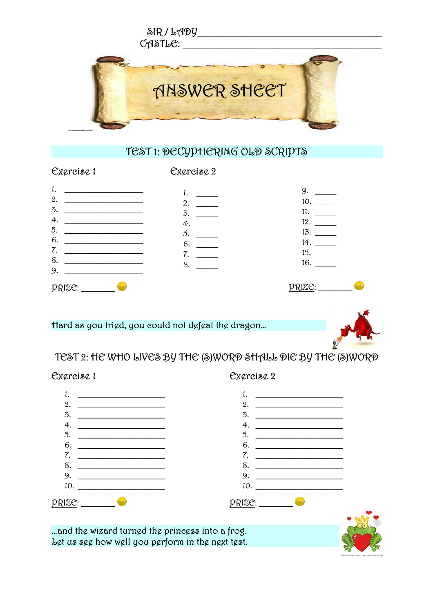

## TEST 1: DECYPHERING OLD SCRIPTS

## Exercise 1

Excreisc 2

| ٠.                  | ٠.              | 9.             |
|---------------------|-----------------|----------------|
| 2.                  | 2.              | 10.            |
| 3.                  | 3.              | 11.            |
| 4.                  | 4.              | 12.            |
| 5.                  | $5\overline{)}$ | 13.            |
| 6.                  | 6.              | 14.            |
| 7.                  | 7.              | 15.            |
| 8.                  | 8.              | 16.            |
| 9.                  |                 |                |
| p <sub>RIZ</sub> e: |                 | <u> PRIZE:</u> |

## Hard as you trigd, you could not dgfgat the dragon...



TEST 2: HE WHO LIVES BY THE (S)WORD SHALL DIE BY THE (S)WORD

Cxgreisg 2

Excreisc 1



... and the wizard turned the princess into a frog. Let us see how well you perform in the next test.